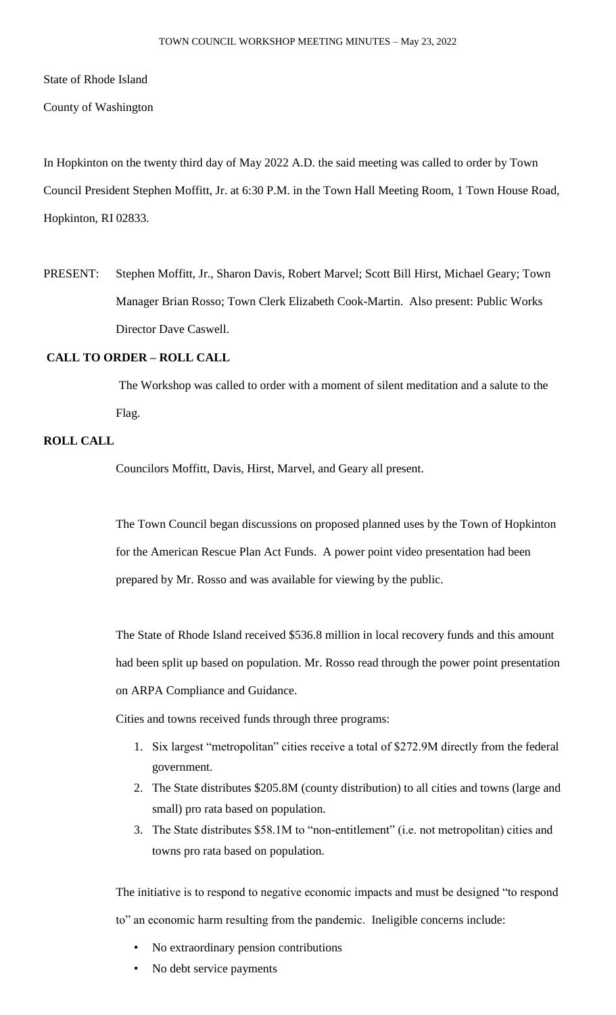State of Rhode Island

County of Washington

In Hopkinton on the twenty third day of May 2022 A.D. the said meeting was called to order by Town Council President Stephen Moffitt, Jr. at 6:30 P.M. in the Town Hall Meeting Room, 1 Town House Road, Hopkinton, RI 02833.

PRESENT: Stephen Moffitt, Jr., Sharon Davis, Robert Marvel; Scott Bill Hirst, Michael Geary; Town Manager Brian Rosso; Town Clerk Elizabeth Cook-Martin. Also present: Public Works Director Dave Caswell.

## **CALL TO ORDER – ROLL CALL**

The Workshop was called to order with a moment of silent meditation and a salute to the Flag.

## **ROLL CALL**

Councilors Moffitt, Davis, Hirst, Marvel, and Geary all present.

The Town Council began discussions on proposed planned uses by the Town of Hopkinton for the American Rescue Plan Act Funds. A power point video presentation had been prepared by Mr. Rosso and was available for viewing by the public.

The State of Rhode Island received \$536.8 million in local recovery funds and this amount had been split up based on population. Mr. Rosso read through the power point presentation on ARPA Compliance and Guidance.

Cities and towns received funds through three programs:

- 1. Six largest "metropolitan" cities receive a total of \$272.9M directly from the federal government.
- 2. The State distributes \$205.8M (county distribution) to all cities and towns (large and small) pro rata based on population.
- 3. The State distributes \$58.1M to "non-entitlement" (i.e. not metropolitan) cities and towns pro rata based on population.

The initiative is to respond to negative economic impacts and must be designed "to respond to" an economic harm resulting from the pandemic. Ineligible concerns include:

- No extraordinary pension contributions
- No debt service payments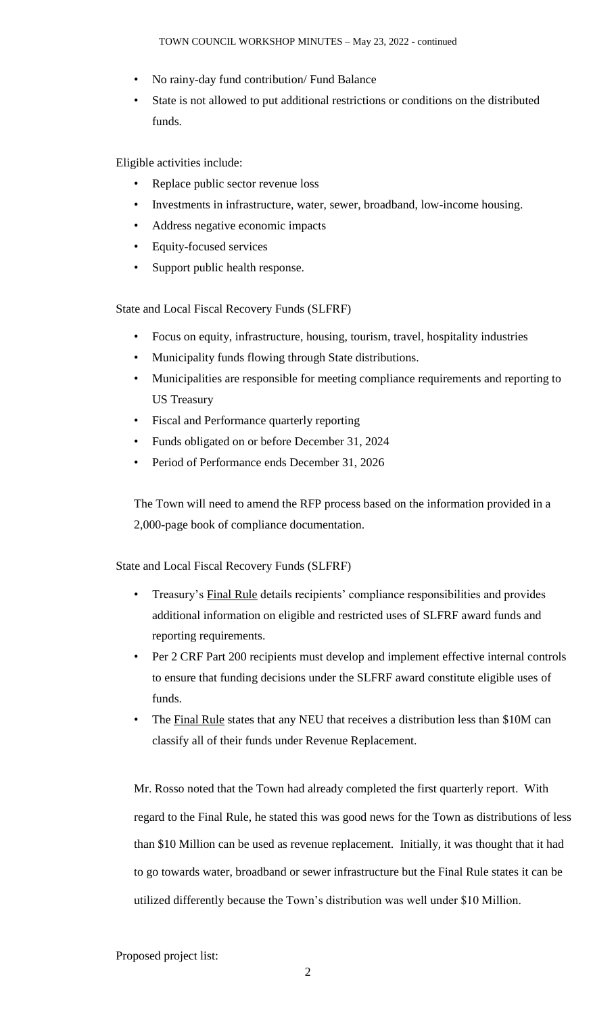- No rainy-day fund contribution/ Fund Balance
- State is not allowed to put additional restrictions or conditions on the distributed funds.

Eligible activities include:

- Replace public sector revenue loss
- Investments in infrastructure, water, sewer, broadband, low-income housing.
- Address negative economic impacts
- Equity-focused services
- Support public health response.

State and Local Fiscal Recovery Funds (SLFRF)

- Focus on equity, infrastructure, housing, tourism, travel, hospitality industries
- Municipality funds flowing through State distributions.
- Municipalities are responsible for meeting compliance requirements and reporting to US Treasury
- Fiscal and Performance quarterly reporting
- Funds obligated on or before December 31, 2024
- Period of Performance ends December 31, 2026

The Town will need to amend the RFP process based on the information provided in a 2,000-page book of compliance documentation.

State and Local Fiscal Recovery Funds (SLFRF)

- Treasury's Final Rule details recipients' compliance responsibilities and provides additional information on eligible and restricted uses of SLFRF award funds and reporting requirements.
- Per 2 CRF Part 200 recipients must develop and implement effective internal controls to ensure that funding decisions under the SLFRF award constitute eligible uses of funds.
- The Final Rule states that any NEU that receives a distribution less than \$10M can classify all of their funds under Revenue Replacement.

Mr. Rosso noted that the Town had already completed the first quarterly report. With regard to the Final Rule, he stated this was good news for the Town as distributions of less than \$10 Million can be used as revenue replacement. Initially, it was thought that it had to go towards water, broadband or sewer infrastructure but the Final Rule states it can be utilized differently because the Town's distribution was well under \$10 Million.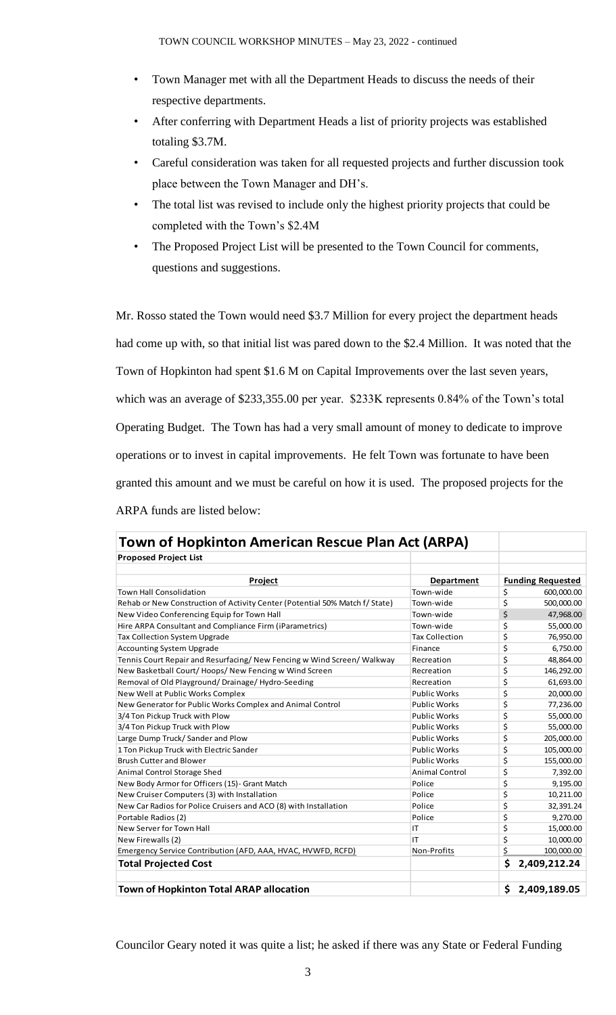- Town Manager met with all the Department Heads to discuss the needs of their respective departments.
- After conferring with Department Heads a list of priority projects was established totaling \$3.7M.
- Careful consideration was taken for all requested projects and further discussion took place between the Town Manager and DH's.
- The total list was revised to include only the highest priority projects that could be completed with the Town's \$2.4M
- The Proposed Project List will be presented to the Town Council for comments, questions and suggestions.

Mr. Rosso stated the Town would need \$3.7 Million for every project the department heads had come up with, so that initial list was pared down to the \$2.4 Million. It was noted that the Town of Hopkinton had spent \$1.6 M on Capital Improvements over the last seven years, which was an average of \$233,355.00 per year. \$233K represents 0.84% of the Town's total Operating Budget. The Town has had a very small amount of money to dedicate to improve operations or to invest in capital improvements. He felt Town was fortunate to have been granted this amount and we must be careful on how it is used. The proposed projects for the ARPA funds are listed below:

| <b>Proposed Project List</b>                                                |                       |                          |
|-----------------------------------------------------------------------------|-----------------------|--------------------------|
|                                                                             |                       |                          |
| Project                                                                     | <b>Department</b>     | <b>Funding Requested</b> |
| <b>Town Hall Consolidation</b>                                              | Town-wide             | \$<br>600,000.00         |
| Rehab or New Construction of Activity Center (Potential 50% Match f/ State) | Town-wide             | \$<br>500,000.00         |
| New Video Conferencing Equip for Town Hall                                  | Town-wide             | \$<br>47,968.00          |
| Hire ARPA Consultant and Compliance Firm (iParametrics)                     | Town-wide             | \$<br>55,000.00          |
| <b>Tax Collection System Upgrade</b>                                        | <b>Tax Collection</b> | \$<br>76,950.00          |
| <b>Accounting System Upgrade</b>                                            | Finance               | \$<br>6,750.00           |
| Tennis Court Repair and Resurfacing/New Fencing w Wind Screen/Walkway       | Recreation            | \$<br>48,864.00          |
| New Basketball Court/Hoops/New Fencing w Wind Screen                        | Recreation            | \$<br>146,292.00         |
| Removal of Old Playground/Drainage/Hydro-Seeding                            | Recreation            | \$<br>61,693.00          |
| New Well at Public Works Complex                                            | <b>Public Works</b>   | \$<br>20,000.00          |
| New Generator for Public Works Complex and Animal Control                   | <b>Public Works</b>   | \$<br>77,236.00          |
| 3/4 Ton Pickup Truck with Plow                                              | <b>Public Works</b>   | \$<br>55,000.00          |
| 3/4 Ton Pickup Truck with Plow                                              | <b>Public Works</b>   | \$<br>55,000.00          |
| Large Dump Truck/Sander and Plow                                            | <b>Public Works</b>   | \$<br>205,000.00         |
| 1 Ton Pickup Truck with Electric Sander                                     | <b>Public Works</b>   | \$<br>105,000.00         |
| <b>Brush Cutter and Blower</b>                                              | <b>Public Works</b>   | \$<br>155,000.00         |
| Animal Control Storage Shed                                                 | <b>Animal Control</b> | \$<br>7,392.00           |
| New Body Armor for Officers (15)- Grant Match                               | Police                | \$<br>9,195.00           |
| New Cruiser Computers (3) with Installation                                 | Police                | \$<br>10,211.00          |
| New Car Radios for Police Cruisers and ACO (8) with Installation            | Police                | \$<br>32,391.24          |
| Portable Radios (2)                                                         | Police                | \$<br>9,270.00           |
| New Server for Town Hall                                                    | ΙT                    | \$<br>15,000.00          |
| New Firewalls (2)                                                           | IT                    | \$<br>10,000.00          |
| Emergency Service Contribution (AFD, AAA, HVAC, HVWFD, RCFD)                | Non-Profits           | \$<br>100,000.00         |
| <b>Total Projected Cost</b>                                                 |                       | \$<br>2,409,212.24       |
| <b>Town of Hopkinton Total ARAP allocation</b>                              |                       | \$<br>2,409,189.05       |

Councilor Geary noted it was quite a list; he asked if there was any State or Federal Funding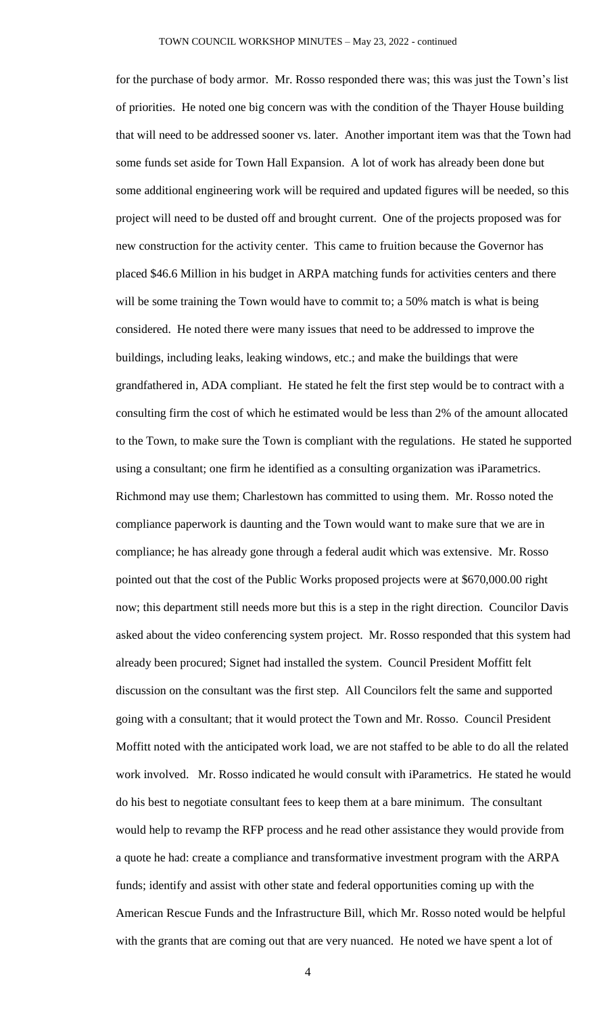for the purchase of body armor. Mr. Rosso responded there was; this was just the Town's list of priorities. He noted one big concern was with the condition of the Thayer House building that will need to be addressed sooner vs. later. Another important item was that the Town had some funds set aside for Town Hall Expansion. A lot of work has already been done but some additional engineering work will be required and updated figures will be needed, so this project will need to be dusted off and brought current. One of the projects proposed was for new construction for the activity center. This came to fruition because the Governor has placed \$46.6 Million in his budget in ARPA matching funds for activities centers and there will be some training the Town would have to commit to; a 50% match is what is being considered. He noted there were many issues that need to be addressed to improve the buildings, including leaks, leaking windows, etc.; and make the buildings that were grandfathered in, ADA compliant. He stated he felt the first step would be to contract with a consulting firm the cost of which he estimated would be less than 2% of the amount allocated to the Town, to make sure the Town is compliant with the regulations. He stated he supported using a consultant; one firm he identified as a consulting organization was iParametrics. Richmond may use them; Charlestown has committed to using them. Mr. Rosso noted the compliance paperwork is daunting and the Town would want to make sure that we are in compliance; he has already gone through a federal audit which was extensive. Mr. Rosso pointed out that the cost of the Public Works proposed projects were at \$670,000.00 right now; this department still needs more but this is a step in the right direction. Councilor Davis asked about the video conferencing system project. Mr. Rosso responded that this system had already been procured; Signet had installed the system. Council President Moffitt felt discussion on the consultant was the first step. All Councilors felt the same and supported going with a consultant; that it would protect the Town and Mr. Rosso. Council President Moffitt noted with the anticipated work load, we are not staffed to be able to do all the related work involved. Mr. Rosso indicated he would consult with iParametrics. He stated he would do his best to negotiate consultant fees to keep them at a bare minimum. The consultant would help to revamp the RFP process and he read other assistance they would provide from a quote he had: create a compliance and transformative investment program with the ARPA funds; identify and assist with other state and federal opportunities coming up with the American Rescue Funds and the Infrastructure Bill, which Mr. Rosso noted would be helpful with the grants that are coming out that are very nuanced. He noted we have spent a lot of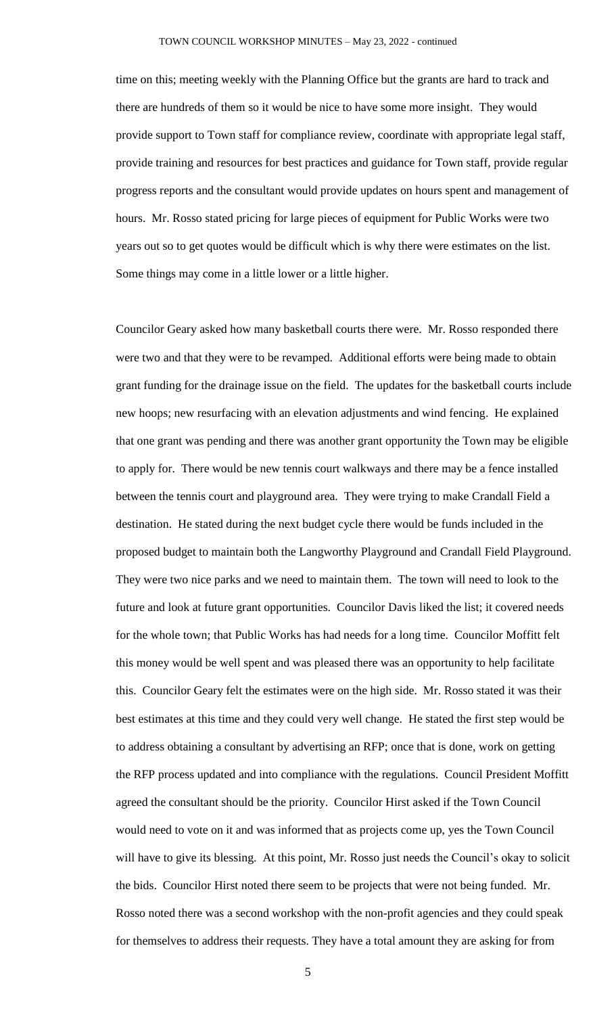time on this; meeting weekly with the Planning Office but the grants are hard to track and there are hundreds of them so it would be nice to have some more insight. They would provide support to Town staff for compliance review, coordinate with appropriate legal staff, provide training and resources for best practices and guidance for Town staff, provide regular progress reports and the consultant would provide updates on hours spent and management of hours. Mr. Rosso stated pricing for large pieces of equipment for Public Works were two years out so to get quotes would be difficult which is why there were estimates on the list. Some things may come in a little lower or a little higher.

Councilor Geary asked how many basketball courts there were. Mr. Rosso responded there were two and that they were to be revamped. Additional efforts were being made to obtain grant funding for the drainage issue on the field. The updates for the basketball courts include new hoops; new resurfacing with an elevation adjustments and wind fencing. He explained that one grant was pending and there was another grant opportunity the Town may be eligible to apply for. There would be new tennis court walkways and there may be a fence installed between the tennis court and playground area. They were trying to make Crandall Field a destination. He stated during the next budget cycle there would be funds included in the proposed budget to maintain both the Langworthy Playground and Crandall Field Playground. They were two nice parks and we need to maintain them. The town will need to look to the future and look at future grant opportunities. Councilor Davis liked the list; it covered needs for the whole town; that Public Works has had needs for a long time. Councilor Moffitt felt this money would be well spent and was pleased there was an opportunity to help facilitate this. Councilor Geary felt the estimates were on the high side. Mr. Rosso stated it was their best estimates at this time and they could very well change. He stated the first step would be to address obtaining a consultant by advertising an RFP; once that is done, work on getting the RFP process updated and into compliance with the regulations. Council President Moffitt agreed the consultant should be the priority. Councilor Hirst asked if the Town Council would need to vote on it and was informed that as projects come up, yes the Town Council will have to give its blessing. At this point, Mr. Rosso just needs the Council's okay to solicit the bids. Councilor Hirst noted there seem to be projects that were not being funded. Mr. Rosso noted there was a second workshop with the non-profit agencies and they could speak for themselves to address their requests. They have a total amount they are asking for from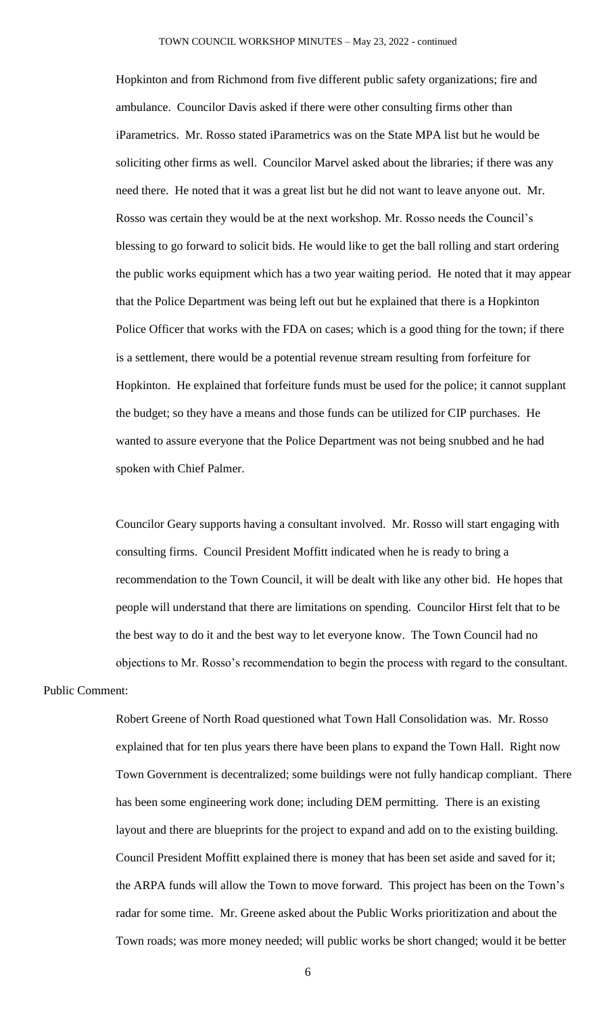Hopkinton and from Richmond from five different public safety organizations; fire and ambulance. Councilor Davis asked if there were other consulting firms other than iParametrics. Mr. Rosso stated iParametrics was on the State MPA list but he would be soliciting other firms as well. Councilor Marvel asked about the libraries; if there was any need there. He noted that it was a great list but he did not want to leave anyone out. Mr. Rosso was certain they would be at the next workshop. Mr. Rosso needs the Council's blessing to go forward to solicit bids. He would like to get the ball rolling and start ordering the public works equipment which has a two year waiting period. He noted that it may appear that the Police Department was being left out but he explained that there is a Hopkinton Police Officer that works with the FDA on cases; which is a good thing for the town; if there is a settlement, there would be a potential revenue stream resulting from forfeiture for Hopkinton. He explained that forfeiture funds must be used for the police; it cannot supplant the budget; so they have a means and those funds can be utilized for CIP purchases. He wanted to assure everyone that the Police Department was not being snubbed and he had spoken with Chief Palmer.

Councilor Geary supports having a consultant involved. Mr. Rosso will start engaging with consulting firms. Council President Moffitt indicated when he is ready to bring a recommendation to the Town Council, it will be dealt with like any other bid. He hopes that people will understand that there are limitations on spending. Councilor Hirst felt that to be the best way to do it and the best way to let everyone know. The Town Council had no objections to Mr. Rosso's recommendation to begin the process with regard to the consultant.

## Public Comment:

Robert Greene of North Road questioned what Town Hall Consolidation was. Mr. Rosso explained that for ten plus years there have been plans to expand the Town Hall. Right now Town Government is decentralized; some buildings were not fully handicap compliant. There has been some engineering work done; including DEM permitting. There is an existing layout and there are blueprints for the project to expand and add on to the existing building. Council President Moffitt explained there is money that has been set aside and saved for it; the ARPA funds will allow the Town to move forward. This project has been on the Town's radar for some time. Mr. Greene asked about the Public Works prioritization and about the Town roads; was more money needed; will public works be short changed; would it be better